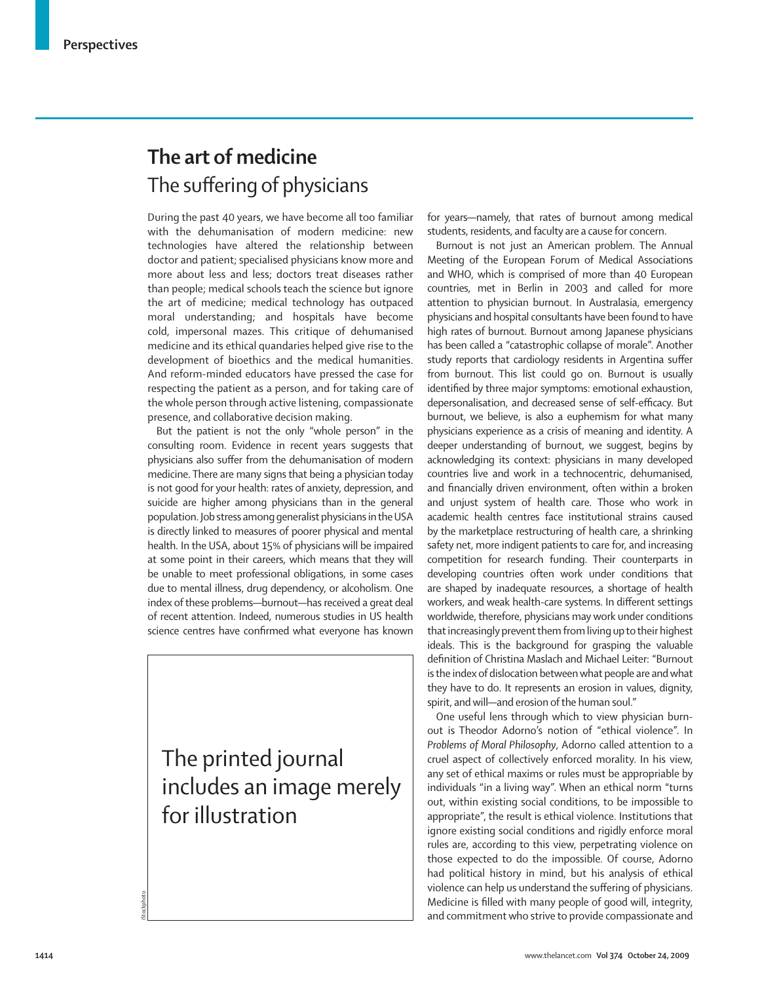## **The art of medicine** The suffering of physicians

During the past 40 years, we have become all too familiar with the dehumanisation of modern medicine: new technologies have altered the relationship between doctor and patient; specialised physicians know more and more about less and less; doctors treat diseases rather than people; medical schools teach the science but ignore the art of medicine; medical technology has outpaced moral understanding; and hospitals have become cold, impersonal mazes. This critique of dehumanised medicine and its ethical quandaries helped give rise to the development of bioethics and the medical humanities. And reform-minded educators have pressed the case for respecting the patient as a person, and for taking care of the whole person through active listening, compassionate presence, and collaborative decision making.

But the patient is not the only "whole person" in the consulting room. Evidence in recent years suggests that physicians also suffer from the dehumanisation of modern medicine. There are many signs that being a physician today is not good for your health: rates of anxiety, depression, and suicide are higher among physicians than in the general population. Job stress among generalist physicians in the USA is directly linked to measures of poorer physical and mental health. In the USA, about 15% of physicians will be impaired at some point in their careers, which means that they will be unable to meet professional obligations, in some cases due to mental illness, drug dependency, or alcoholism. One index of these problems—burnout—has received a great deal of recent attention. Indeed, numerous studies in US health science centres have confirmed what everyone has known

The printed journal includes an image merely for illustration

for years—namely, that rates of burnout among medical students, residents, and faculty are a cause for concern.

Burnout is not just an American problem. The Annual Meeting of the European Forum of Medical Associations and WHO, which is comprised of more than 40 European countries, met in Berlin in 2003 and called for more attention to physician burnout. In Australasia, emergency physicians and hospital consultants have been found to have high rates of burnout. Burnout among Japanese physicians has been called a "catastrophic collapse of morale". Another study reports that cardiology residents in Argentina suffer from burnout. This list could go on. Burnout is usually identified by three major symptoms: emotional exhaustion, depersonalisation, and decreased sense of self-efficacy. But burnout, we believe, is also a euphemism for what many physicians experience as a crisis of meaning and identity. A deeper understanding of burnout, we suggest, begins by acknowledging its context: physicians in many developed countries live and work in a technocentric, dehumanised, and financially driven environment, often within a broken and unjust system of health care. Those who work in academic health centres face institutional strains caused by the marketplace restructuring of health care, a shrinking safety net, more indigent patients to care for, and increasing competition for research funding. Their counterparts in developing countries often work under conditions that are shaped by inadequate resources, a shortage of health workers, and weak health-care systems. In different settings worldwide, therefore, physicians may work under conditions that increasingly prevent them from living up to their highest ideals. This is the background for grasping the valuable definition of Christina Maslach and Michael Leiter: "Burnout is the index of dislocation between what people are and what they have to do. It represents an erosion in values, dignity, spirit, and will—and erosion of the human soul."

One useful lens through which to view physician burnout is Theodor Adorno's notion of "ethical violence". In *Problems of Moral Philosophy*, Adorno called attention to a cruel aspect of collectively enforced morality. In his view, any set of ethical maxims or rules must be appropriable by individuals "in a living way". When an ethical norm "turns out, within existing social conditions, to be impossible to appropriate", the result is ethical violence. Institutions that ignore existing social conditions and rigidly enforce moral rules are, according to this view, perpetrating violence on those expected to do the impossible. Of course, Adorno had political history in mind, but his analysis of ethical violence can help us understand the suffering of physicians. Medicine is filled with many people of good will, integrity, and commitment who strive to provide compassionate and

Stockphoto